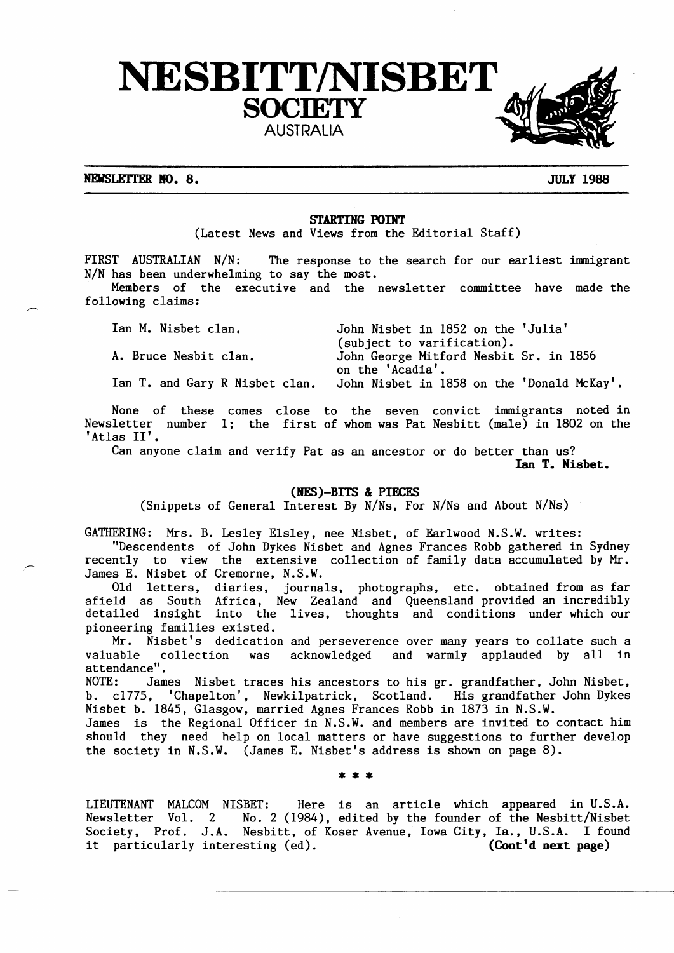# NESBITT/NISBET SOCIETT AUSTRALIA

NEWSLETTER NO. 8. SERVICE SERVICE SERVICE SERVICE SERVICE SERVICE SERVICE SERVICE SERVICE SERVICE SERVICE SERVICE SERVICE SERVICE SERVICE SERVICE SERVICE SERVICE SERVICE SERVICE SERVICE SERVICE SERVICE SERVICE SERVICE SERV

## STARTING POINT

(Latest News and Views from the Editorial Staff)

FIRST AUSTRALIAN  $N/N$ : The response to the search for our earliest immigrant N/N has been underwhelming to say the most.

Members of the executive and the newsletter committee have made the following claims:

| Ian M. Nisbet clan.            | John Nisbet in 1852 on the 'Julia'         |
|--------------------------------|--------------------------------------------|
|                                | (subject to varification).                 |
| A. Bruce Nesbit clan.          | John George Mitford Nesbit Sr. in 1856     |
|                                | on the 'Acadia'.                           |
| Ian T. and Gary R Nisbet clan. | John Nisbet in 1858 on the 'Donald McKay'. |

None of these comes close to the seven convict inmigrants noted in Newsletter number 1; the first of whom was Pat Nesbitt (nale) in 1802 on the "Atlas II'.

Can anyone claim and verify Pat as an ancestor or do better than us? Ian T. Nisbet.

## (rfEs)-Brrs & PTECES

(Snippets of General Interest By N/Ns, For N/Ns and About N/Ns)

GATHERING: Mrs. B. Lesley Elsley, nee Nisbet, of Earlwood N.S.W. writes:

"Descendents of John Dykes Nisbet and Agnes Frances Robb gathered in Sydney recently to view the extensive collection of family data accumulated by Mr. James E. Nisbet of Cremorne, N.S.W.

Old letters, diaries, journals, photographs, etc. obtained from as far afield as South Africa, New Zealand and Queensland provided an incredibl detailed insight into the lives, thoughts and conditions under which our pioneering fanilies existed.

Mr. Nisbet's dedication and perseverence over many years to collate such a valuable collection was acknowledged and warmly applauded by all in attendance".

NOTE: James Nisbet traces his ancestors to his gr. grandfather, John Nisbet, b. c1775, 'Chapelton', Newkilpatrick, Scotland. His grandfather John Dykes Nisbet b. 1845, Glasgow, narried Agnes Frances Robb in 1873 in N.S.W.

James is the Regional Officer in N.S.W. and members are invited to contact him should they need help on local matters or have suggestions to further develop the society in N.S.W. (James E. Nisbet's address is shown on page 8).

\*\*

LIEUTENANT MALCOM NISBET: Here is an article which appeared in U.S,A. Newsletter Vol. 2 No. 2 (1984), edited by the founder of the Nesbitt/Nisbet Society, Prof. J.A. Nesbitt, of Koser Avenue, Iowa City, Ia., U.S.A. I found<br>it particularly interesting (ed). (Cont'd next page) it particularly interesting (ed).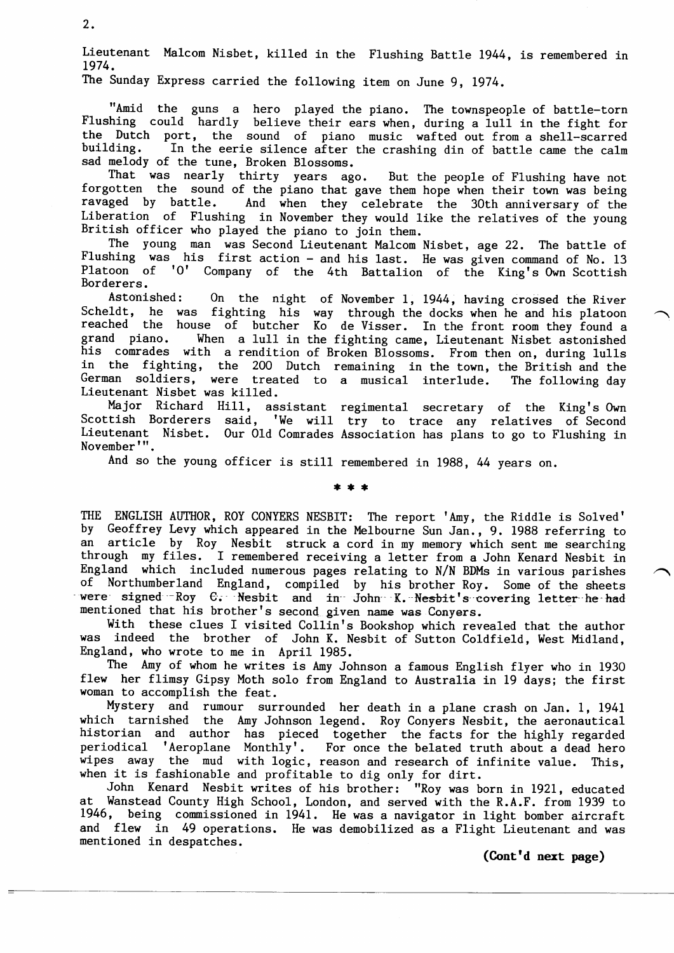Lieutenant Malcom Nisbet, killed in the Flushing Battle 1944, is remembered in 1974.

The Sunday Express carried the following item on June 9, 1974.

"Amid the guns a hero played the piano. The townspeople of battle-to Flushing could hardly believe their ears when, during a lull in the fight for the Dutch port, the sound of piano music wafted out from a shell-scarred building. In the eerie silence after the crashing din of battle came the calm In the eerie silence after the crashing din of battle came the calm sad nelody of the tune, Broken Blossons.

inat was hearly thirty years ago. But the people of Flushing have not<br>forgotten the sound of the piano that gave them hope when their town was being That was nearly thirty years ago. But the people of Flushing have not ravaged by battle. And when they celebrate the 3Oth anniversary of the Liberation of Flushing in November they would like the relatives of the young British officer who played the piano to join them.

The young man was Second Lieutenant Malcom Nisbet, age 22. The battle of<br>Flushing was his first action - and his last. He was given command of No. 13 The young man was Second Lieutenant Malcom Nisbet, age 22. The battle of Platoon of '0' Company of the 4th Battalion of the King's Own Scottish Borderers.

Astonished: On the night of November 1, 1944, having crossed the River Scheldt, he was fighting his way through the docks when he and his platoon reached the house of butcher Ko de Visser. In the front room they found a grand piano. When a 1u11 in the fighting came, Lieutenant Nisbet astonished his comrades with a rendition of Broken Blossoms. From then on, during 1ulls in the fighting, the 200 Dutch remaining in the town, the British and the<br>German soldiers, were treated to a musical interlude. The following day German soldiers, were treated to a musical interlude. Lieutenant Nisbet was killed.

Major Richard Hill, assistant regimental secretary of the King's $0$ wn Scottish Borderers said, 'We will try to trace any relatives of Second Lieutenant Nisbet. Our 01d Conrades Assoclation has plans to go to Flushing in November'".

And so the young officer is still remembered in 1988, 44 years on.

+\*\*

THE ENGLISH AUTHOR, ROY CONYERS NESBIT: The report 'Amy, the Riddle is Solved' by Geoffrey Levy which appeared in the Melbourne Sun Jan., 9. 1988 referring to an article by Roy Nesbit struck a cord in my memory which sent me searching through ny files. I remenbered receiving a letter from a John Kenard Nesbit in England which included numerous pages relating to N/N BDMs in various parishes of Northumberland England, compiled by his brother Roy. Some of the sheets were signed Roy  $E$ . Nesbit and in John K. Nesbit's covering letter he had mentioned that his brother's second given name was Conyers.

With these clues I visited Collin's Bookshop which revealed that the author was indeed the brother of John K. Nesbit of Sutton Coldfield, West Midland, England, who wrote to me in April 1985.

The Amy of whom he writes is Amy Johnson a famous English flyer who in 1930 flew her flimsy Gipsy Moth solo from England to Australia in 19 days; the first woman to accomplish the feat.

Mystery and rumour surrounded her death in a plane crash on Jan. 1, 1941 vhich tarnished the Any Johnson legend. Roy Conyers Nesbit, the aeronautical historian and author has pieced together the facts for the highly regarded periodical 'Aeroplane Monthly'. For once the belated truth about a dead hero wipes away the mud with 1ogic, reason and research of infinite value. This, when it is fashionable and profitable to dig only for dirt.

John Kenard Nesbit writes of his brother: "Roy was born in 1921, educated at Wanstead County High School, London, and served with the R.A.F. from 1939 to 1946, being commissioned in 1941. He was a navigator in light bomber aircraft and flew in 49 operations. He was demobilized as a Flight Lieutenant and was nentioned in despatches

(Cont'd next page)

^

2 .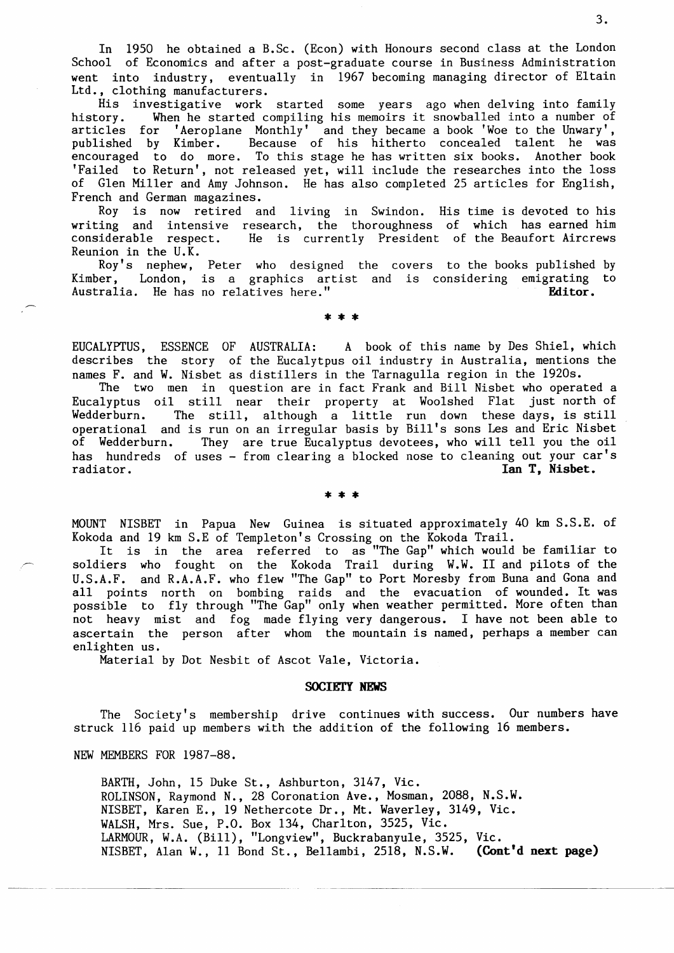In 1950 he obtained a B.Sc. (Econ) with Honours second class at the London School of Economics and after a post-graduate course in Business Administration went into industry, eventually in 1967 becoming managing director of Eltain Ltd., clothing manufacturers.

His investigative work started some years ago when delving into family history. When he started compiling his memoirs it snowballed into a number of articles for 'Aeroplane Monthly' and they became a book 'Woe to the Unwary', published by Kimber. Because of his hitherto concealed talent he was encouraged to do more. To this stage he has written six books. Another book 'Failed to Return', not released yet, will include the researches into the loss of Glen Miller and Amy Johnson. He has also completed 25 articles for English, French and German magazines.

Roy is now retired and living in Swindon. His time is devoted to his writing and intensive research, the thoroughness of which has earned him considerable respect. He is currently President of the Beaufort Aircrews Reunion in the U.K.

Roy's nephew, Peter who designed the covers to the books published by Kimber, London, is a graphics artist and is considering emigrating to Australia. He has no relatives here." The extended of the extent of the Editor.

\*\*\*

EUCALYPTUS, ESSENCE 0F AUSTRALIA: A book of this name by Des Shiel, which describes the story of the Eucalytpus oil industry in Australia, mentions the names F. and W. Nisbet as distillers in the Tarnagulla region in the 1920s.

The two men in question are in fact Frank and Bill Nisbet who operated a Eucalyptus oil sti1l near their property at Woolshed Flat just north of Wedderburn. The still, although a little run down these-days, is sti operational and is run on an irregular basis by Bill's sons Les and Eric Nisbet of Wedderburn. They are true Eucalyptus devotees, who will tell you the oil has hundreds of uses - from clearing a blocked nose to cleaning out your car's radiator. **Ian T, Nisbet.** The set of the set of the set of the set of the set of the set of the set of the set of the set of the set of the set of the set of the set of the set of the set of the set of the set of the set

#### \*\*\*

MOUNT NISBET in Papua New Guinea is situated approximately 40 km S.S.E. of Kokoda and 19 km S.E of Templeton's Crossing on the Kokoda Trail.

It is in the area referred to as "The Gap" which would be familiar to soldiers who fought on the Kokoda Trail during W.W. II and pilots of the U.S.A.F. and R.A.A.F. who flew "The Gap" to Port Moresby from Buna and Gona and all points north on bombing raids and the evacuation of-wounded.It-was<br>possible to fly-through "The-Gap" only-when-weather-permitted.More-often-than not heavy mist and fog made flying very dangerous. I have not been able to ascertain the person after whom the mountain is named, perhaps a member can enlighten us.

Material by Dot Nesbit of Ascot Vale, Victoria.

## SOCIETY NEWS

The Society's membership drive continues with success. Our numbers have struck 116 paid up members with the addition of the following 16 members.

NEW MEMBERS FOR 1987-88.

BARTH, John, 15 Duke St., Ashburton, 3L47, Vic. ROLINSON, Raymond N., 28 Coronation Ave., Mosman, 2088, N.S.W. NISBET, Karen E., L9 Nethercote Dr., Mt. Waverley, 3149, Vic. WALSH, Mrs. Sue, P.0. Box I34, Charlton, 3525, Vic. LARMOUR, W.A. (Bill), "Longview", Buckrabanyule, 3525, Vic. NISBET, Alan W., 11 Bond St., Bellambi, 2518, N.S.W. (Cont'd next page)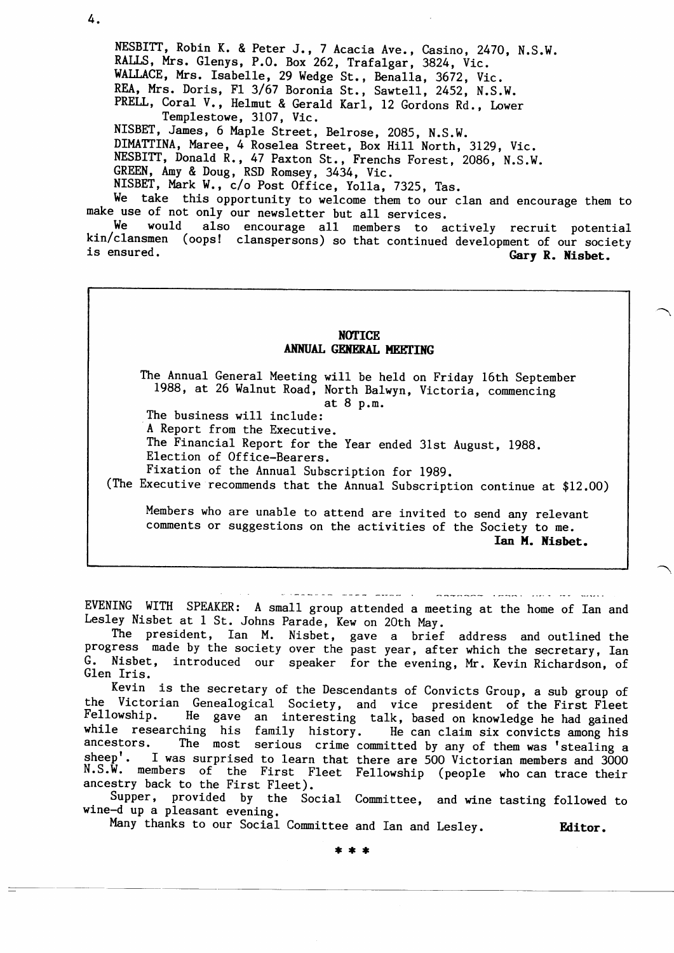NESBITT, Robin K. & Peter J., 7 Acacia Ave., Casino, 2470, N.S.W. RALLS, Mrs. Glenys, P.O. Box 262, Trafalgar, 3824, Vic. WALLACE, Mrs. Isabelle, 29 Wedge St., Benalla, 3672, Vic. REA, Mrs. Doris, Fl 3/67 Boronia St., Sawtell, 2452, N.S.W. PRELL, Coral V., Helmut & Gerald Karl, 12 Gordons Rd., Lower Templestowe, 3107, Vic. NISBET, James, 6 Maple Street, Belrose, 2085, N.S.W. DIMATTINA, Maree, 4 Roselea Street, Box Hill North, 3129, Vic. NESBITT, Donald R., 47 Paxton St., Frenchs Forest, 2086, N.S.W. GREEN, Any & Doug, RSD Romsey, 3434, Vic, NISBET, Mark W., c/o Post Office, yolla, 7325, Tas. We take this opportunity to welcome them to our clan and encourage them to make use of not only our newsletter but all services.<br>We would also encourage all members to a

also encourage all members to actively recruit potential kin/clansmen (oops! clanspersons) so that continued development of our society is ensured. Gary R. Nisbet.

## **NOTICE** ANNUAL GENERAL MEETING

The Annual General Meeting will be held on Friday 16th September 1988, at 26 Walnut Road, North Balwyn, Victoria, commencing at 8 p.m. The business will include: A Report from the Executive. The Financial Report for the Year ended 31st August, 1988. Election of Office-Bearers. Fixation of the Annual Subscription for 1989. (The Executive recommends that the Annual Subscription continue at \$12.00)

Members who are unable to attend are invited to send any relevant comments or suggestions on the activities of the Society to me. Ian M. Nisbet.

> Hawasan feast bu  $\frac{1}{2}$

EVENING WITH SPEAKER: A small group attended a meeting at the home of Ian and Lesley Nisbet at 1 St. Johns Parade, Kew on 20th May.

The president, Ian M. Nisbet, gave a brief address and outlined the progress made by the society over the past year, after which the secretary, Ian G. Nisbet, introduced our speaker for the evening, Mr. Kevin Richardson, of Glen Iris.

Kevin is the secretary of the Descendants of Convicts Group, a sub group of the Victorian Genealogical Society, and vice president of the First Fleet Fellowship. He gave an interesting talk, based on knowledge he had gained while researching his family history. He can claim six convicts among his ancestors. The most serious crime committed by any of them was 'stealing a  $sheep'.$ I was surprised to learn that there are 500 Victorian members and 3000 N.S.W. members of the First Fleet Fellowship (people who can trace their ancestry back to the First Fleet).

Supper, provided by the Social Committee, and wine tasting followed to wine-d up a pleasant evening.

Many thanks to our Social Committee and Ian and Lesley. **Editor.**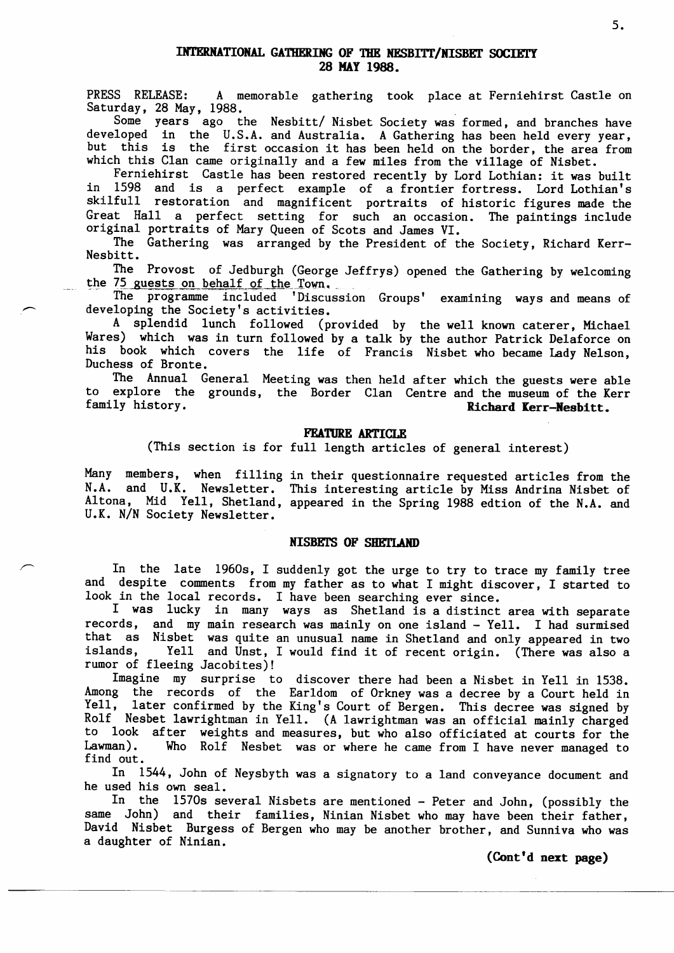PRESS RELEASE: A memorable gathering took place at Ferniehirst Castle on Saturday, 28 May, 1988.

Some years ago the Nesbitt/ Nisbet Society was formed, and branches have developed in the U.S.A. and Australia. A Gathering has been held every year, but this is the first occasion it has been held on the border, the area from which this Clan came originally and a few miles from the village of Nisbet.

Ferniehirst Castle has been restored recently by Lord Lothian: it was built in 1598 and is a perfect example of a frontier fortress. Lord Lothian's skilfull restoration and nagnificent portraits of historic figures made the Great Hall a perfect setting for such an occasion. The paintings include original portraits of Mary Queen of Scots and James vI.

The Gathering was arranged by the President of the Society, Richard Kerr-Nesbitt.

The Provost of Jedburgh (George Jeffrys) opened the Gathering by welcoming the 75 guests on behalf of the Town.

The programme included 'Discussion Groups' examining ways and means of developing the Society's activities.

A splendid lunch followed (provided by the well known caterer, Michae Wares) which was in turn followed by a talk by the author Patrick Delaforce on his book which covers the life of Francis Nisbet who became Lady Nelson Duchess of Bronte.

The Annual General Meeting was then held after which the guests were able to explore the grounds, the Border Clan Centre and the museum of the Kerr<br>family history.<br>**Richard Kerr-Neshitt**. Richard Kerr-Nesbitt.

## FEATURE ARTICLE

(This section is for full length articles of general interest)

Many nembers, when filling in their questionnaire requested articles fron the N.A. and U.K. Newsletter. This interesting article by Miss Andrina Nisbet of Altona, Mid Yell, Shetland, appeared in the Spring 1988 edtion of the N.A. and U.K. N/N Society Newsletter.

## NISBETS OF SHETLAND

In the late 1960s, I suddenly got the urge to try to trace my family tree and despite comments from my father as to what I might discover, I started to look in the local records. I have been searching ever since.

I was lucky in many ways as Shetland is a distinct area with separate records, and my main research was mainly on one island - Yell. I had surmised that as Nisbet was quite an unusual name in Shetland and only appeared in two Yell and Unst, I would find it of recent origin. (There was also a rumor of fleeing Jacobites) !

Imagine my surprise to discover there had been a Nisbet in Yell in 1538. Among the records of the Earldom of Orkney was a decree by a Court held in Yell, later confirmed by the King's Court of Bergen. This decree was signed by Rolf Nesbet lawrightman in Yell. (A lawrightman was an official mainly charged to look after weights and measures, but who also officiated at courts for the Lawman). Who Rolf Nesbet was or where he came from I have never managed to Who Rolf Nesbet was or where he came from I have never managed to find out.

In 1544, John of Neysbyth was a signatory to a land conveyance document and he used his own seal.

In the 1570s several Nisbets are mentioned - Peter and John, (possibly the same John) and their fanilies, Ninian Nisbet who nay have been their father, David Nisbet Burgess of Bergen who nay be another brother, and Sunniva who was a daughter of Ninian.

(Cont'd next page)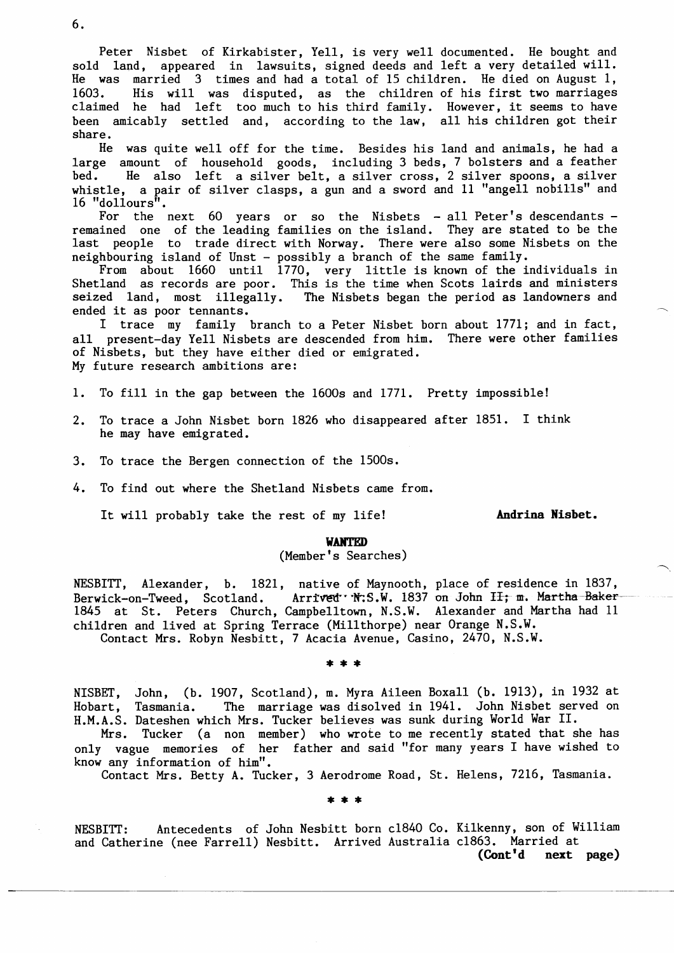Peter Nisbet of Kirkabister, Yell, is very well documented. He bought and sold 1and, appeared in lawsuits, signed deeds and left a very detailed will. He was married  $3$  times and had a total of 15 children. He died on August 1, 1603. His will was disputed, as the children of his first two marriages claimed he had left too much to his third family. However, it seems to have been amicably settled and, according to the law. all his children got their share.

He was quite well off for the time. Besides his land and animals, he had a large amount of household goods, including 3 beds, 7 bolsters and a feather bed. He also left a silver belt, a silver cross, 2 silver spoons, a silver whistle, a pair of silver clasps, a gun and a sword and 11 "angell nobills" and 16  $"dollours"$ .

For the next 60 years or so the Nisbets -- all Peter's descendants remained one of the leading families on the island. They are stated to be the last people to trade direct with Norway. There were also some Nisbets on the neighbouring island of Unst  $-$  possibly a branch of the same family.

From about 1660 until 1770, very little is known of the individuals in Shetland as records are poor. This is the time when Scots lairds and ministers seized land, most illegally. The Nisbets began the period as landowners and ended it as poor tennants.

I trace my family branch to a Peter Nisbet born about 1771; and in fact, all present-day Yell Nisbets are descended from him. There were other families of Nisbets, but they have either died or emigrated. My future research ambitions are:

- 1. To fill in the gap between the 1600s and I77I. Pretty impossible !
- 2. To trace a John Nisbet born 1826 who disappeared after 1851. I thinl he may have emigrated.
- 3. To trace the Bergen connection of the 1500s.
- 4. To find out where the Shetland Nisbets came from.

It will probably take the rest of my life!

Andrina Nisbet.

#### WANTED

## (Member's Searches)

NESBITT, Alexander, b. 1821, native of Maynooth, place of residence in 1837, Berwick-on-Tweed, Scotland. Arrfved N.S.W. 1837 on John I<del>I; m. Martha-Baker</del>-1845 at St. Peters Church, Campbelltown, N.S.W. Alexander and Martha had l children and lived at Spring Terrace (Millthorpe) near Orange N.S.W.

Contact Mrs. Robyn Nesbitt, 7 Acacia Avenue, Casino, 2470, N.S.W.

#### \*\*\*

NISBET, John, (b. 1907, Scotland), m. Myra Aileen Boxall (b. 1913), in 1932 at Hobart, Tasmania. The marriage was disolved in I94I. John Nisbet served on H.M.A.S. Dateshen which Mrs. Tucker believes was sunk during World War II.

Mrs. Tucker (a non member) who wrote to me recently stated that she has only vague memories of her father and said "for many years I have wished to<br> know any information of him".

Contact Mrs. Betty A. Tucker, 3 Aerodrome Road, St. Helens, 7216, Tasmania.

\*\*\*

NESBITT: Antecedents of John Nesbitt born c1840 Co. Kilkenny, son of Willian and Catherine (nee Farrell) Nesbitt. Arrived Australia c1863. Married at next page)

6 .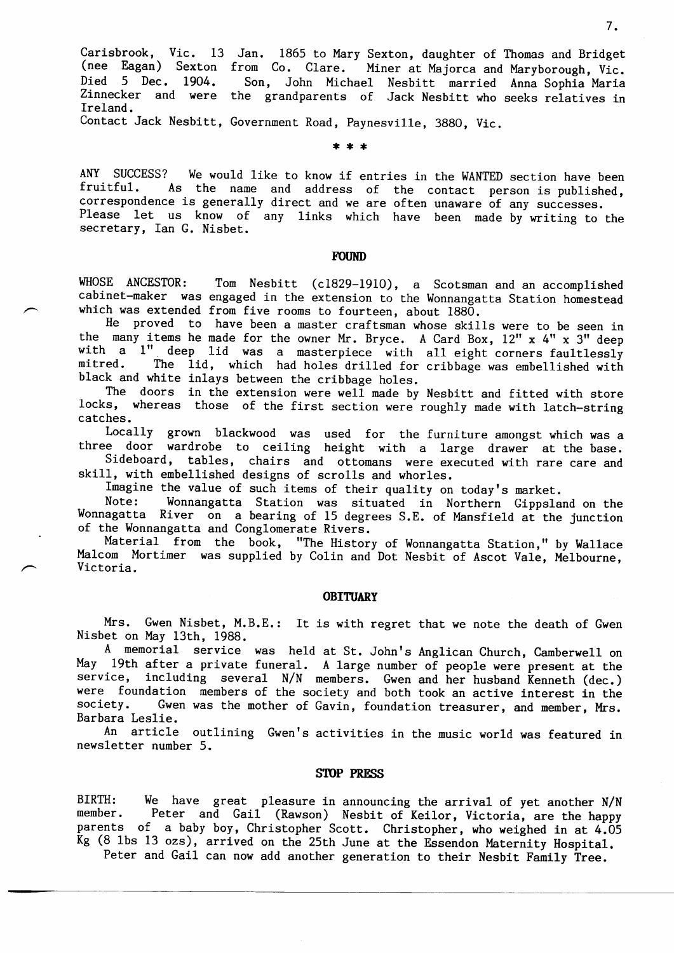\*\*\*

ANY succESS? we would like to know if enrries in the WANTED section have been fruitful. As the name and address of the contact person is published, correspondence is generally direct and we are often unaware of any successes Please let us know of any links which have been made by writing to the secretary, Ian G. Nisbet.

## **FOUND**

WHOSE ANCESTOR: Tom Nesbitt (c1829-1910), a Scotsman and an accomplished cabinet-maker was engaged in the extension to the Wonnangatta Station homestead which was extended from five rooms to fourteen, about 1880.

He proved to have been a master craftsman whose skills were to be seen in the many items he made for the owner Mr. Bryce. A Card Box, 12" x 4" x 3" deep with a  $1$ " deep lid was a masterpiece with all eight corners faultless mitred. The lid, which had holes drilled for cribbage was embellished with black and white inlays between the cribbage holes.

The doors in the extension were well made by Nesbitt and fitted with store locks, whereas those of the first section were roughly made with latch-string catches.

Locally grown blackwood was used for the furniture amongst which was a three door wardrobe to ceiling height with a large drawer at the base.

Sideboard, tables, chairs and ottomans were executed with rare care and skill, with embellished designs of scrolls and whorles.

Imagine the value of such items of their quality on today's market.

Note: Wonnangatta Station was situated in Northern Gippsland on the Wonnagatta River on a bearing of 15 degrees S.E. of Mansfield at the junctio of the Wonnangatta and Conglomerate Rivers.

Material from the book, "The History of Wonnangatta Station," by Wallace Malcom Mortimer was supplied by Colin and Dot Nesbit of Ascot Vale, Melbourne, Victoria.

#### **OBITUARY**

Mrs. Gwen Nisbet, M.B.E.: It is with regret that, we note the death of Gwen Nisbet on May 13th, 1988.

A memorial service was held at St. John's Anglican Church, Camberwell on May 19th after a private funeral. A large number of people were present at the service, including several  $N/N$  members. Gwen and her husband Kenneth (dec.) were foundation members of the society and both took an active interest in the society. Gwen was the mother of Gavin, foundation treasurer, and member Mrs Gwen was the mother of Gavin, foundation treasurer, and member, Mrs. Barbara Leslie.

An article outlining Gwen's activities in the music world was featured in newsletter number 5.

## SIOP PRESS

BIRTH: We have great pleasure in announcing the arrival of yet another N/N<br>member. Peter and Gail (Rawson) Neshit of Keilor Victoria are the banny Peter and Gail (Rawson) Nesbit of Keilor, Victoria, are the happy parents of a baby boy, Christopher Scott. Christopher, who weighed in at 4.05 Kg (8 1bs 13 ozs), arrived on the 25th June at the Essendon Maternity Hospital.

Peter and Gail can now add another generation to their Nesbit Family Tree.